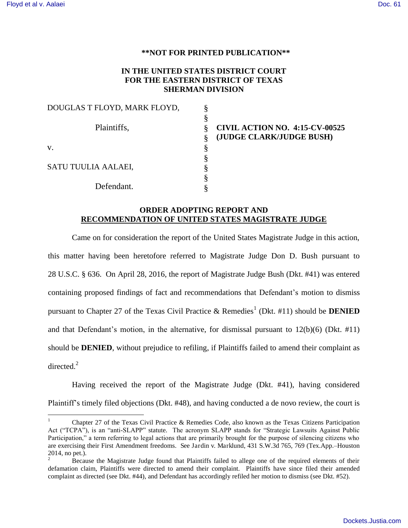$\overline{a}$ 

#### **\*\*NOT FOR PRINTED PUBLICATION\*\***

## **IN THE UNITED STATES DISTRICT COURT FOR THE EASTERN DISTRICT OF TEXAS SHERMAN DIVISION**

§ § § § § § § §

| DOUGLAS T FLOYD, MARK FLOYD, |  |
|------------------------------|--|
|                              |  |
| Plaintiffs,                  |  |
|                              |  |
| $V_{\cdot}$                  |  |
|                              |  |
| SATU TUULIA AALAEI,          |  |
|                              |  |
| Defendant.                   |  |

**CIVIL ACTION NO. 4:15-CV-00525 (JUDGE CLARK/JUDGE BUSH)** 

## **ORDER ADOPTING REPORT AND RECOMMENDATION OF UNITED STATES MAGISTRATE JUDGE**

Came on for consideration the report of the United States Magistrate Judge in this action, this matter having been heretofore referred to Magistrate Judge Don D. Bush pursuant to 28 U.S.C. § 636. On April 28, 2016, the report of Magistrate Judge Bush (Dkt. #41) was entered containing proposed findings of fact and recommendations that Defendant's motion to dismiss pursuant to Chapter 27 of the Texas Civil Practice & Remedies<sup>1</sup> (Dkt. #11) should be **DENIED** and that Defendant's motion, in the alternative, for dismissal pursuant to 12(b)(6) (Dkt. #11) should be **DENIED**, without prejudice to refiling, if Plaintiffs failed to amend their complaint as directed. $2$ 

Having received the report of the Magistrate Judge (Dkt. #41), having considered Plaintiff's timely filed objections (Dkt. #48), and having conducted a de novo review, the court is

<sup>1</sup> Chapter 27 of the Texas Civil Practice & Remedies Code, also known as the Texas Citizens Participation Act ("TCPA"), is an "anti-SLAPP" statute. The acronym SLAPP stands for "Strategic Lawsuits Against Public Participation," a term referring to legal actions that are primarily brought for the purpose of silencing citizens who are exercising their First Amendment freedoms. See Jardin v. Marklund, 431 S.W.3d 765, 769 (Tex.App.–Houston 2014, no pet.).

<sup>2</sup> Because the Magistrate Judge found that Plaintiffs failed to allege one of the required elements of their defamation claim, Plaintiffs were directed to amend their complaint. Plaintiffs have since filed their amended complaint as directed (see Dkt. #44), and Defendant has accordingly refiled her motion to dismiss (see Dkt. #52).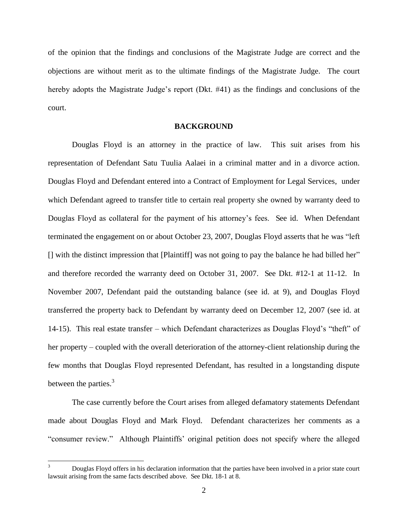of the opinion that the findings and conclusions of the Magistrate Judge are correct and the objections are without merit as to the ultimate findings of the Magistrate Judge. The court hereby adopts the Magistrate Judge's report (Dkt. #41) as the findings and conclusions of the court.

#### **BACKGROUND**

Douglas Floyd is an attorney in the practice of law. This suit arises from his representation of Defendant Satu Tuulia Aalaei in a criminal matter and in a divorce action. Douglas Floyd and Defendant entered into a Contract of Employment for Legal Services, under which Defendant agreed to transfer title to certain real property she owned by warranty deed to Douglas Floyd as collateral for the payment of his attorney's fees. See id. When Defendant terminated the engagement on or about October 23, 2007, Douglas Floyd asserts that he was "left [] with the distinct impression that [Plaintiff] was not going to pay the balance he had billed her" and therefore recorded the warranty deed on October 31, 2007. See Dkt. #12-1 at 11-12. In November 2007, Defendant paid the outstanding balance (see id. at 9), and Douglas Floyd transferred the property back to Defendant by warranty deed on December 12, 2007 (see id. at 14-15). This real estate transfer – which Defendant characterizes as Douglas Floyd's "theft" of her property – coupled with the overall deterioration of the attorney-client relationship during the few months that Douglas Floyd represented Defendant, has resulted in a longstanding dispute between the parties.<sup>3</sup>

The case currently before the Court arises from alleged defamatory statements Defendant made about Douglas Floyd and Mark Floyd. Defendant characterizes her comments as a "consumer review." Although Plaintiffs' original petition does not specify where the alleged

 $\overline{a}$ 

<sup>3</sup> Douglas Floyd offers in his declaration information that the parties have been involved in a prior state court lawsuit arising from the same facts described above. See Dkt. 18-1 at 8.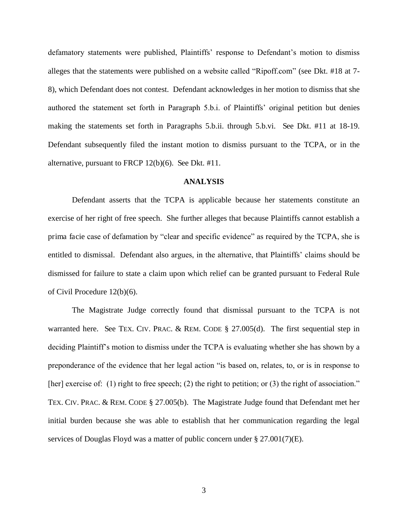defamatory statements were published, Plaintiffs' response to Defendant's motion to dismiss alleges that the statements were published on a website called "Ripoff.com" (see Dkt. #18 at 7- 8), which Defendant does not contest. Defendant acknowledges in her motion to dismiss that she authored the statement set forth in Paragraph 5.b.i. of Plaintiffs' original petition but denies making the statements set forth in Paragraphs 5.b.ii. through 5.b.vi. See Dkt. #11 at 18-19. Defendant subsequently filed the instant motion to dismiss pursuant to the TCPA, or in the alternative, pursuant to FRCP 12(b)(6). See Dkt. #11.

### **ANALYSIS**

Defendant asserts that the TCPA is applicable because her statements constitute an exercise of her right of free speech. She further alleges that because Plaintiffs cannot establish a prima facie case of defamation by "clear and specific evidence" as required by the TCPA, she is entitled to dismissal. Defendant also argues, in the alternative, that Plaintiffs' claims should be dismissed for failure to state a claim upon which relief can be granted pursuant to Federal Rule of Civil Procedure 12(b)(6).

The Magistrate Judge correctly found that dismissal pursuant to the TCPA is not warranted here. See TEX. CIV. PRAC. & REM. CODE § 27.005(d). The first sequential step in deciding Plaintiff's motion to dismiss under the TCPA is evaluating whether she has shown by a preponderance of the evidence that her legal action "is based on, relates, to, or is in response to [her] exercise of: (1) right to free speech; (2) the right to petition; or (3) the right of association." TEX. CIV. PRAC. & REM. CODE § 27.005(b). The Magistrate Judge found that Defendant met her initial burden because she was able to establish that her communication regarding the legal services of Douglas Floyd was a matter of public concern under § 27.001(7)(E).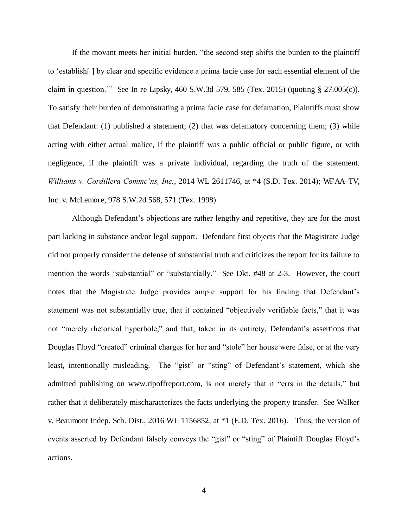If the movant meets her initial burden, "the second step shifts the burden to the plaintiff to 'establish[ ] by clear and specific evidence a prima facie case for each essential element of the claim in question.'" See In re Lipsky, 460 S.W.3d 579, 585 (Tex. 2015) (quoting § 27.005(c)). To satisfy their burden of demonstrating a prima facie case for defamation, Plaintiffs must show that Defendant: (1) published a statement; (2) that was defamatory concerning them; (3) while acting with either actual malice, if the plaintiff was a public official or public figure, or with negligence, if the plaintiff was a private individual, regarding the truth of the statement. *Williams v. Cordillera Commc'ns, Inc.*, 2014 WL 2611746, at \*4 (S.D. Tex. 2014); WFAA*–*TV, Inc. v. McLemore, 978 S.W.2d 568, 571 (Tex. 1998).

Although Defendant's objections are rather lengthy and repetitive, they are for the most part lacking in substance and/or legal support. Defendant first objects that the Magistrate Judge did not properly consider the defense of substantial truth and criticizes the report for its failure to mention the words "substantial" or "substantially." See Dkt. #48 at 2-3. However, the court notes that the Magistrate Judge provides ample support for his finding that Defendant's statement was not substantially true, that it contained "objectively verifiable facts," that it was not "merely rhetorical hyperbole," and that, taken in its entirety, Defendant's assertions that Douglas Floyd "created" criminal charges for her and "stole" her house were false, or at the very least, intentionally misleading. The "gist" or "sting" of Defendant's statement, which she admitted publishing on www.ripoffreport.com, is not merely that it "errs in the details," but rather that it deliberately mischaracterizes the facts underlying the property transfer. See Walker v. Beaumont Indep. Sch. Dist., 2016 WL 1156852, at \*1 (E.D. Tex. 2016). Thus, the version of events asserted by Defendant falsely conveys the "gist" or "sting" of Plaintiff Douglas Floyd's actions.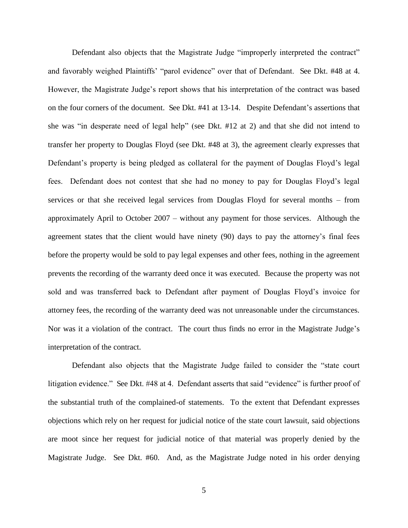Defendant also objects that the Magistrate Judge "improperly interpreted the contract" and favorably weighed Plaintiffs' "parol evidence" over that of Defendant. See Dkt. #48 at 4. However, the Magistrate Judge's report shows that his interpretation of the contract was based on the four corners of the document. See Dkt. #41 at 13-14. Despite Defendant's assertions that she was "in desperate need of legal help" (see Dkt. #12 at 2) and that she did not intend to transfer her property to Douglas Floyd (see Dkt. #48 at 3), the agreement clearly expresses that Defendant's property is being pledged as collateral for the payment of Douglas Floyd's legal fees. Defendant does not contest that she had no money to pay for Douglas Floyd's legal services or that she received legal services from Douglas Floyd for several months – from approximately April to October 2007 – without any payment for those services. Although the agreement states that the client would have ninety (90) days to pay the attorney's final fees before the property would be sold to pay legal expenses and other fees, nothing in the agreement prevents the recording of the warranty deed once it was executed. Because the property was not sold and was transferred back to Defendant after payment of Douglas Floyd's invoice for attorney fees, the recording of the warranty deed was not unreasonable under the circumstances. Nor was it a violation of the contract. The court thus finds no error in the Magistrate Judge's interpretation of the contract.

Defendant also objects that the Magistrate Judge failed to consider the "state court litigation evidence." See Dkt. #48 at 4. Defendant asserts that said "evidence" is further proof of the substantial truth of the complained-of statements. To the extent that Defendant expresses objections which rely on her request for judicial notice of the state court lawsuit, said objections are moot since her request for judicial notice of that material was properly denied by the Magistrate Judge. See Dkt. #60. And, as the Magistrate Judge noted in his order denying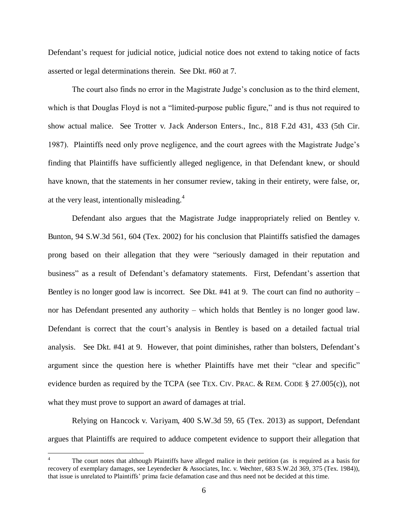Defendant's request for judicial notice, judicial notice does not extend to taking notice of facts asserted or legal determinations therein. See Dkt. #60 at 7.

The court also finds no error in the Magistrate Judge's conclusion as to the third element, which is that Douglas Floyd is not a "limited-purpose public figure," and is thus not required to show actual malice. See Trotter v. Jack Anderson Enters., Inc., 818 F.2d 431, 433 (5th Cir. 1987). Plaintiffs need only prove negligence, and the court agrees with the Magistrate Judge's finding that Plaintiffs have sufficiently alleged negligence, in that Defendant knew, or should have known, that the statements in her consumer review, taking in their entirety, were false, or, at the very least, intentionally misleading. $4$ 

Defendant also argues that the Magistrate Judge inappropriately relied on Bentley v. Bunton, 94 S.W.3d 561, 604 (Tex. 2002) for his conclusion that Plaintiffs satisfied the damages prong based on their allegation that they were "seriously damaged in their reputation and business" as a result of Defendant's defamatory statements. First, Defendant's assertion that Bentley is no longer good law is incorrect. See Dkt. #41 at 9. The court can find no authority – nor has Defendant presented any authority – which holds that Bentley is no longer good law. Defendant is correct that the court's analysis in Bentley is based on a detailed factual trial analysis. See Dkt. #41 at 9. However, that point diminishes, rather than bolsters, Defendant's argument since the question here is whether Plaintiffs have met their "clear and specific" evidence burden as required by the TCPA (see TEX. CIV. PRAC. & REM. CODE § 27.005(c)), not what they must prove to support an award of damages at trial.

Relying on Hancock v. Variyam, 400 S.W.3d 59, 65 (Tex. 2013) as support, Defendant argues that Plaintiffs are required to adduce competent evidence to support their allegation that

 $\overline{a}$ 

<sup>4</sup> The court notes that although Plaintiffs have alleged malice in their petition (as is required as a basis for recovery of exemplary damages, see Leyendecker & Associates, Inc. v. Wechter, 683 S.W.2d 369, 375 (Tex. 1984)), that issue is unrelated to Plaintiffs' prima facie defamation case and thus need not be decided at this time.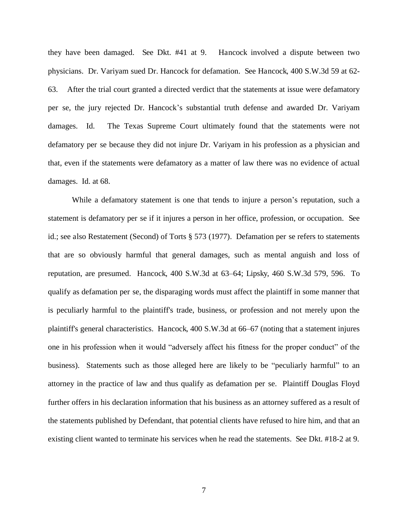they have been damaged. See Dkt. #41 at 9. Hancock involved a dispute between two physicians. Dr. Variyam sued Dr. Hancock for defamation. See Hancock, 400 S.W.3d 59 at 62- 63. After the trial court granted a directed verdict that the statements at issue were defamatory per se, the jury rejected Dr. Hancock's substantial truth defense and awarded Dr. Variyam damages. Id. The Texas Supreme Court ultimately found that the statements were not defamatory per se because they did not injure Dr. Variyam in his profession as a physician and that, even if the statements were defamatory as a matter of law there was no evidence of actual damages. Id. at 68.

While a defamatory statement is one that tends to injure a person's reputation, such a statement is defamatory per se if it injures a person in her office, profession, or occupation. See id.; see also Restatement (Second) of Torts § 573 (1977). Defamation per se refers to statements that are so obviously harmful that general damages, such as mental anguish and loss of reputation, are presumed. Hancock, 400 S.W.3d at 63–64; Lipsky, 460 S.W.3d 579, 596. To qualify as defamation per se, the disparaging words must affect the plaintiff in some manner that is peculiarly harmful to the plaintiff's trade, business, or profession and not merely upon the plaintiff's general characteristics. Hancock, 400 S.W.3d at 66–67 (noting that a statement injures one in his profession when it would "adversely affect his fitness for the proper conduct" of the business). Statements such as those alleged here are likely to be "peculiarly harmful" to an attorney in the practice of law and thus qualify as defamation per se. Plaintiff Douglas Floyd further offers in his declaration information that his business as an attorney suffered as a result of the statements published by Defendant, that potential clients have refused to hire him, and that an existing client wanted to terminate his services when he read the statements. See Dkt. #18-2 at 9.